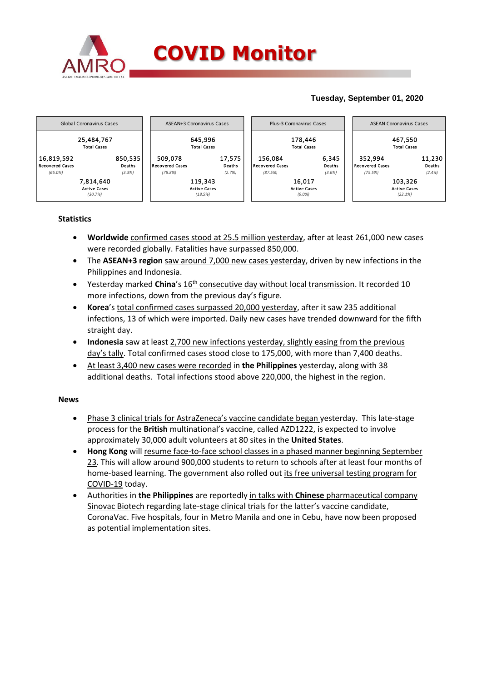

# **Tuesday, September 01, 2020**



# **Statistics**

- **Worldwide** confirmed cases stood at 25.5 million yesterday, after at least 261,000 new cases were recorded globally. Fatalities have surpassed 850,000.
- The **ASEAN+3 region** saw around 7,000 new cases yesterday, driven by new infections in the Philippines and Indonesia.
- Yesterday marked **China**'s 16<sup>th</sup> consecutive day without local transmission. It recorded 10 more infections, down from the previous day's figure.
- **Korea**'s total confirmed cases surpassed 20,000 yesterday, after it saw 235 additional infections, 13 of which were imported. Daily new cases have trended downward for the fifth straight day.
- **Indonesia** saw at least 2,700 new infections yesterday, slightly easing from the previous day's tally. Total confirmed cases stood close to 175,000, with more than 7,400 deaths.
- At least 3,400 new cases were recorded in **the Philippines** yesterday, along with 38 additional deaths. Total infections stood above 220,000, the highest in the region.

### **News**

- Phase 3 clinical trials for AstraZeneca's vaccine candidate began yesterday. This late-stage process for the **British** multinational's vaccine, called AZD1222, is expected to involve approximately 30,000 adult volunteers at 80 sites in the **United States**.
- **Hong Kong** will resume face-to-face school classes in a phased manner beginning September 23. This will allow around 900,000 students to return to schools after at least four months of home-based learning. The government also rolled out its free universal testing program for COVID-19 today.
- Authorities in **the Philippines** are reportedly in talks with **Chinese** pharmaceutical company Sinovac Biotech regarding late-stage clinical trials for the latter's vaccine candidate, CoronaVac. Five hospitals, four in Metro Manila and one in Cebu, have now been proposed as potential implementation sites.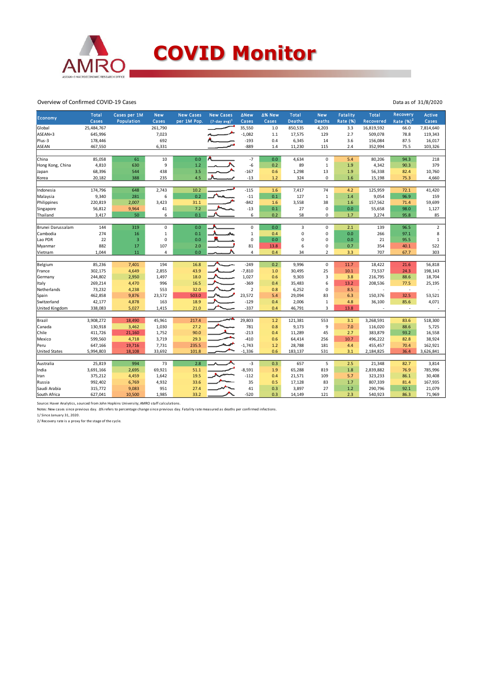

#### Overview of Confirmed COVID-19 Cases

| Economy              | <b>Total</b><br>Cases | Cases per 1M<br><b>Population</b> | <b>New</b><br>Cases | <b>New Cases</b><br>per 1M Pop. | <b>New Cases</b><br>$(7-day$ avg) <sup>1</sup> | ∆New<br>Cases  | ∆% New<br>Cases | <b>Total</b><br><b>Deaths</b> | <b>New</b><br><b>Deaths</b> | <b>Fatality</b><br><b>Rate (%)</b> | <b>Total</b><br>Recovered | Recovery<br>Rate $(%)2$  | <b>Active</b><br>Cases |
|----------------------|-----------------------|-----------------------------------|---------------------|---------------------------------|------------------------------------------------|----------------|-----------------|-------------------------------|-----------------------------|------------------------------------|---------------------------|--------------------------|------------------------|
| Global               | 25,484,767            |                                   | 261,790             |                                 |                                                | 35,550         | 1.0             | 850,535                       | 4,203                       | 3.3                                | 16,819,592                | 66.0                     | 7,814,640              |
| ASEAN+3              | 645,996               |                                   | 7,023               |                                 |                                                | $-1,082$       | 1.1             | 17,575                        | 129                         | 2.7                                | 509,078                   | 78.8                     | 119,343                |
| Plus-3               | 178,446               |                                   | 692                 |                                 |                                                | $-193$         | 0.4             | 6,345                         | 14                          | 3.6                                | 156,084                   | 87.5                     | 16,017                 |
| <b>ASEAN</b>         | 467,550               |                                   | 6,331               |                                 |                                                | $-889$         | 1.4             | 11,230                        | 115                         | 2.4                                | 352,994                   | 75.5                     | 103,326                |
|                      |                       |                                   |                     |                                 |                                                |                |                 |                               |                             |                                    |                           |                          |                        |
| China                | 85,058                | 61                                | 10                  | 0.0                             |                                                | $-7$           | 0.0             | 4,634                         | $\mathbf 0$                 | 5.4                                | 80,206                    | 94.3                     | 218                    |
| Hong Kong, China     | 4,810                 | 630                               | 9                   | 1.2                             |                                                | $-6$           | 0.2             | 89                            | $\mathbf 1$                 | 1.9                                | 4,342                     | 90.3                     | 379                    |
| Japan                | 68,396                | 544                               | 438                 | 3.5                             |                                                | $-167$         | 0.6             | 1,298                         | 13                          | 1.9                                | 56,338                    | 82.4                     | 10,760                 |
| Korea                | 20,182                | 388                               | 235                 | 4.5                             |                                                | $-13$          | 1.2             | 324                           | $\mathbf 0$                 | 1.6                                | 15,198                    | 75.3                     | 4,660                  |
|                      | 174,796               | 648                               | 2,743               | 10.2                            |                                                | $-115$         | 1.6             |                               | 74                          | 4.2                                | 125,959                   | 72.1                     | 41,420                 |
| Indonesia            |                       |                                   |                     | 0.2                             |                                                |                | 0.1             | 7,417                         |                             |                                    |                           |                          |                        |
| Malaysia             | 9,340                 | 281                               | 6                   |                                 |                                                | $-11$          |                 | 127                           | $\mathbf{1}$                | 1.4                                | 9,054                     | 96.9                     | 159                    |
| Philippines          | 220,819               | 2,007                             | 3,423               | 31.1                            |                                                | $-842$         | 1.6             | 3,558                         | 38                          | 1.6                                | 157,562                   | 71.4                     | 59,699                 |
| Singapore            | 56,812                | 9,964                             | 41                  | 7.2                             |                                                | $-13$          | 0.1             | 27                            | $\mathbf 0$                 | 0.0                                | 55,658                    | 98.0                     | 1,127                  |
| Thailand             | 3,417                 | 50                                | 6                   | 0.1                             |                                                | 6              | 0.2             | 58                            | $\mathbf 0$                 | 1.7                                | 3,274                     | 95.8                     | 85                     |
| Brunei Darussalam    | 144                   | 319                               | 0                   | 0.0                             |                                                | 0              | 0.0             | 3                             | $\pmb{0}$                   | 2.1                                | 139                       | 96.5                     | $\overline{2}$         |
| Cambodia             | 274                   | 16                                | $\mathbf{1}$        | 0.1                             |                                                | $\mathbf{1}$   | 0.4             | $\pmb{0}$                     | 0                           | 0.0                                | 266                       | 97.1                     | 8                      |
| Lao PDR              | 22                    | $\overline{\mathbf{3}}$           | 0                   | 0.0                             |                                                | 0              | 0.0             | 0                             | $\mathbf 0$                 | 0.0                                | 21                        | 95.5                     | $\mathbf 1$            |
| Myanmar              | 882                   | 17                                | 107                 | 2.0                             |                                                | 81             | 13.8            | 6                             | 0                           | 0.7                                | 354                       | 40.1                     | 522                    |
| Vietnam              | 1.044                 | 11                                | 4                   | 0.0                             |                                                | 4              | 0.4             | 34                            | $\overline{2}$              | 3.3                                | 707                       | 67.7                     | 303                    |
|                      |                       |                                   |                     |                                 |                                                |                |                 |                               |                             |                                    |                           |                          |                        |
| Belgium              | 85,236                | 7,401                             | 194                 | 16.8                            |                                                | $-249$         | 0.2             | 9,996                         | $\mathbf 0$                 | 11.7                               | 18,422                    | 21.6                     | 56,818                 |
| France               | 302,175               | 4,649                             | 2,855               | 43.9                            |                                                | $-7,810$       | 1.0             | 30,495                        | 25                          | 10.1                               | 73,537                    | 24.3                     | 198,143                |
| Germany              | 244,802               | 2,950                             | 1,497               | 18.0                            |                                                | 1,027          | 0.6             | 9,303                         | 3                           | 3.8                                | 216,795                   | 88.6                     | 18,704                 |
| Italy                | 269,214               | 4,470                             | 996                 | 16.5                            |                                                | $-369$         | 0.4             | 35,483                        | 6                           | 13.2                               | 208,536                   | 77.5                     | 25,195                 |
| Netherlands          | 73,232                | 4,238                             | 553                 | 32.0                            |                                                | $\overline{2}$ | 0.8             | 6,252                         | $\mathbf 0$                 | 8.5                                | ٠                         | $\overline{\phantom{a}}$ |                        |
| Spain                | 462,858               | 9,876                             | 23,572              | 503.0                           |                                                | 23,572         | 5.4             | 29,094                        | 83                          | 6.3                                | 150,376                   | 32.5                     | 53,521                 |
| Switzerland          | 42,177                | 4,878                             | 163                 | 18.9                            |                                                | $-129$         | 0.4             | 2,006                         | $\,1\,$                     | 4.8                                | 36,100                    | 85.6                     | 4,071                  |
| United Kingdom       | 338,083               | 5,027                             | 1,415               | 21.0                            |                                                | $-337$         | 0.4             | 46,791                        | $\overline{3}$              | 13.8                               |                           | ٠                        |                        |
|                      |                       |                                   |                     |                                 |                                                |                |                 |                               |                             |                                    |                           |                          |                        |
| Brazil               | 3,908,272             | 18,490                            | 45,961              | 217.4                           |                                                | 29,803         | $1.2$           | 121,381                       | 553                         | 3.1                                | 3,268,591                 | 83.6                     | 518,300                |
| Canada               | 130,918               | 3,462                             | 1,030               | 27.2                            |                                                | 781            | 0.8             | 9,173                         | 9                           | 7.0                                | 116,020                   | 88.6                     | 5,725                  |
| Chile                | 411,726               | 21,160                            | 1,752               | 90.0                            |                                                | $-213$         | 0.4             | 11,289                        | 45                          | 2.7                                | 383,879                   | 93.2                     | 16,558                 |
| Mexico               | 599,560               | 4,718                             | 3,719               | 29.3                            |                                                | $-410$         | 0.6             | 64,414                        | 256                         | 10.7                               | 496,222                   | 82.8                     | 38,924                 |
| Peru                 | 647,166               | 19,716                            | 7,731               | 235.5                           |                                                | $-1,743$       | 1.2             | 28,788                        | 181                         | 4.4                                | 455,457                   | 70.4                     | 162,921                |
| <b>United States</b> | 5,994,803             | 18,108                            | 33,692              | 101.8                           |                                                | $-1,336$       | 0.6             | 183,137                       | 531                         | 3.1                                | 2,184,825                 | 36.4                     | 3,626,841              |
| Australia            | 25,819                | 994                               | 73                  | 2.8                             |                                                | $-3$           | 0.3             | 657                           | 5                           | 2.5                                | 21,348                    | 82.7                     | 3,814                  |
| India                | 3,691,166             | 2,695                             | 69,921              | 51.1                            |                                                | $-8,591$       | 1.9             | 65,288                        | 819                         | 1.8                                | 2,839,882                 | 76.9                     | 785,996                |
| Iran                 | 375,212               | 4,459                             | 1,642               | 19.5                            |                                                | $-112$         | 0.4             | 21,571                        | 109                         | 5.7                                | 323,233                   | 86.1                     | 30,408                 |
| Russia               | 992,402               | 6,769                             | 4,932               | 33.6                            |                                                | 35             | 0.5             | 17,128                        | 83                          | 1.7                                | 807,339                   | 81.4                     | 167,935                |
| Saudi Arabia         | 315,772               | 9,083                             | 951                 | 27.4                            |                                                | 41             | 0.3             | 3,897                         | 27                          | 1.2                                | 290,796                   | 92.1                     | 21,079                 |
| South Africa         | 627,041               | 10,500                            | 1,985               | 33.2                            |                                                | $-520$         | 0.3             |                               | 121                         | 2.3                                | 540,923                   | 86.3                     | 71,969                 |
|                      |                       |                                   |                     |                                 |                                                |                |                 | 14,149                        |                             |                                    |                           |                          |                        |

Source: Haver Analytics, sourced from John Hopkins University; AMRO staff calculations.<br>Notes: New cases since previous day. ∆% refers to percentage change since previous day. Fatality rate measured as deaths per confirmed

2/ Recovery rate is a proxy for the stage of the cycle.

Data as of 31/8/2020